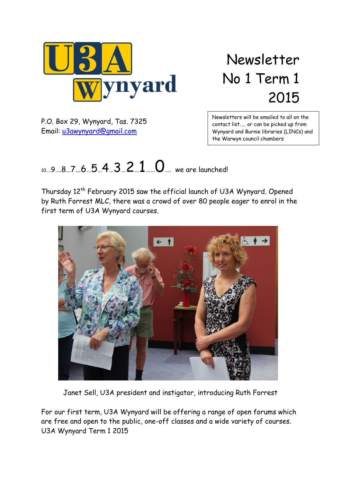

Newsletter No 1 Term 1 2015

P.O. Box 29, Wynyard, Tas. 7325 Email: [u3awynyard@gmail.com](mailto:u3awynyard@gmail.com)

Newsletters will be emailed to all on the contact list….. or can be picked up from Wynyard and Burnie libraries (LINCs) and the Warwyn council chambers

# $10...9...8...7...6...5...4...3...2...1...0...$  we are launched!

Thursday 12<sup>th</sup> February 2015 saw the official launch of U3A Wynyard. Opened by Ruth Forrest MLC, there was a crowd of over 80 people eager to enrol in the first term of U3A Wynyard courses.



Janet Sell, U3A president and instigator, introducing Ruth Forrest

For our first term, U3A Wynyard will be offering a range of open forums which are free and open to the public, one-off classes and a wide variety of courses. U3A Wynyard Term 1 2015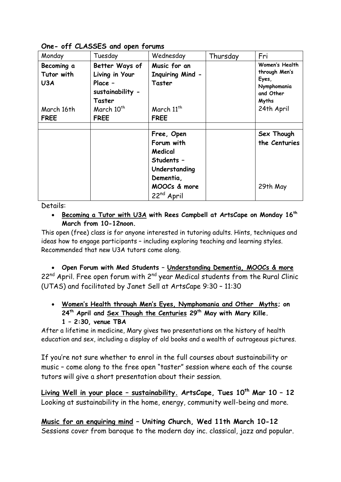**One- off CLASSES and open forums**

| Monday                                                       | Tuesday                                                                                                            | Wednesday                                                                                  | Thursday | Fri                                                                                                |
|--------------------------------------------------------------|--------------------------------------------------------------------------------------------------------------------|--------------------------------------------------------------------------------------------|----------|----------------------------------------------------------------------------------------------------|
| Becoming a<br>Tutor with<br>U3A<br>March 16th<br><b>FREE</b> | Better Ways of<br>Living in Your<br>Place -<br>sustainability -<br>Taster<br>March 10 <sup>th</sup><br><b>FREE</b> | Music for an<br><b>Inquiring Mind -</b><br>Taster<br>March 11 <sup>th</sup><br><b>FREE</b> |          | Women's Health<br>through Men's<br>Eyes,<br>Nymphomania<br>and Other<br><b>Myths</b><br>24th April |
|                                                              |                                                                                                                    |                                                                                            |          |                                                                                                    |
|                                                              |                                                                                                                    | Free, Open<br>Forum with<br>Medical<br>Students -<br>Understanding<br>Dementia,            |          | Sex Though<br>the Centuries                                                                        |
|                                                              |                                                                                                                    | MOOCs & more<br>22 <sup>nd</sup> April                                                     |          | 29th May                                                                                           |

Details:

 **Becoming a Tutor with U3A with Rees Campbell at ArtsCape on Monday 16th March from 10-12noon.** 

This open (free) class is for anyone interested in tutoring adults. Hints, techniques and ideas how to engage participants – including exploring teaching and learning styles. Recommended that new U3A tutors come along.

 **Open Forum with Med Students – Understanding Dementia, MOOCs & more**  $22^{nd}$  April. Free open forum with  $2^{nd}$  year Medical students from the Rural Clinic (UTAS) and facilitated by Janet Sell at ArtsCape 9:30 – 11:30

 **Women's Health through Men's Eyes, Nymphomania and Other Myths; on 24th April and Sex Though the Centuries 29th May with Mary Kille. 1 – 2:30, venue TBA**

After a lifetime in medicine, Mary gives two presentations on the history of health education and sex, including a display of old books and a wealth of outrageous pictures.

If you're not sure whether to enrol in the full courses about sustainability or music – come along to the free open "taster" session where each of the course tutors will give a short presentation about their session.

**Living Well in your place – sustainability. ArtsCape, Tues 10 th Mar 10 – 12**  Looking at sustainability in the home, energy, community well-being and more.

**Music for an enquiring mind – Uniting Church, Wed 11th March 10-12** Sessions cover from baroque to the modern day inc. classical, jazz and popular.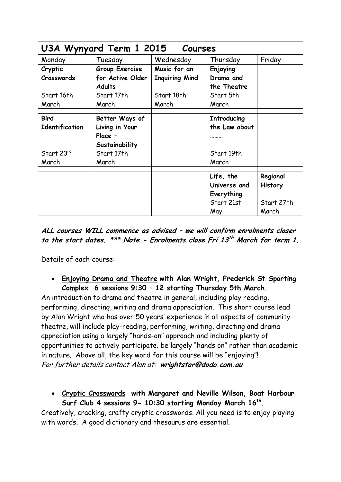| U3A Wynyard Term 1 2015 Courses |                  |                       |                    |                |
|---------------------------------|------------------|-----------------------|--------------------|----------------|
| Monday                          | Tuesday          | Wednesday             | Thursday           | Friday         |
| Cryptic                         | Group Exercise   | Music for an          | Enjoying           |                |
| Crosswords                      | for Active Older | <b>Inquiring Mind</b> | Drama and          |                |
|                                 | <b>Adults</b>    |                       | the Theatre        |                |
| Start 16th                      | Start 17th       | Start 18th            | Start 5th          |                |
| March                           | March            | March                 | March              |                |
|                                 |                  |                       |                    |                |
| <b>Bird</b>                     | Better Ways of   |                       | <b>Introducing</b> |                |
| <b>Identification</b>           | Living in Your   |                       | the Law about      |                |
|                                 | Place -          |                       |                    |                |
|                                 | Sustainability   |                       |                    |                |
| Start 23rd                      | Start 17th       |                       | Start 19th         |                |
| March                           | March            |                       | March              |                |
|                                 |                  |                       | Life, the          | Regional       |
|                                 |                  |                       |                    |                |
|                                 |                  |                       | Universe and       | <b>History</b> |
|                                 |                  |                       | Everything         |                |
|                                 |                  |                       | Start 21st         | Start 27th     |
|                                 |                  |                       | May                | March          |

**ALL courses WILL commence as advised – we will confirm enrolments closer to the start dates. \*\*\* Note - Enrolments close Fri 13 th March for term 1.**

Details of each course:

 **Enjoying Drama and Theatre with Alan Wright, Frederick St Sporting Complex 6 sessions 9:30 – 12 starting Thursday 5th March.** 

An introduction to drama and theatre in general, including play reading, performing, directing, writing and drama appreciation. This short course lead by Alan Wright who has over 50 years' experience in all aspects of community theatre, will include play-reading, performing, writing, directing and drama appreciation using a largely "hands-on" approach and including plenty of opportunities to actively participate. be largely "hands on" rather than academic in nature. Above all, the key word for this course will be "enjoying"! For further details contact Alan at: **wrightstar@dodo.com.au**

 **Cryptic Crosswords with Margaret and Neville Wilson, Boat Harbour Surf Club 4 sessions 9- 10:30 starting Monday March 16th .**

Creatively, cracking, crafty cryptic crosswords. All you need is to enjoy playing with words. A good dictionary and thesaurus are essential.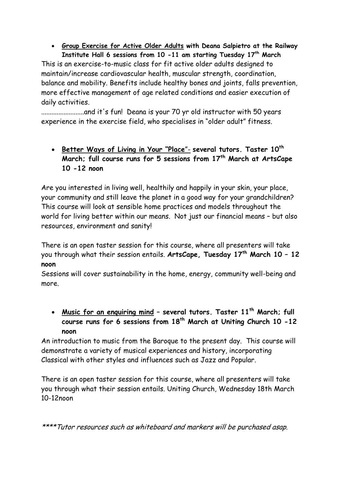**Group Exercise for Active Older Adults with Deana Salpietro at the Railway Institute Hall 6 sessions from 10 -11 am starting Tuesday 17th March** 

This is an exercise-to-music class for fit active older adults designed to maintain/increase cardiovascular health, muscular strength, coordination, balance and mobility. Benefits include healthy bones and joints, falls prevention, more effective management of age related conditions and easier execution of daily activities.

.........................and it's fun! Deana is your 70 yr old instructor with 50 years experience in the exercise field, who specialises in "older adult" fitness.

 **Better Ways of Living in Your "Place**"- **several tutors. Taster 10 th March; full course runs for 5 sessions from 17th March at ArtsCape 10 -12 noon**

Are you interested in living well, healthily and happily in your skin, your place, your community and still leave the planet in a good way for your grandchildren? This course will look at sensible home practices and models throughout the world for living better within our means. Not just our financial means – but also resources, environment and sanity!

There is an open taster session for this course, where all presenters will take you through what their session entails. **ArtsCape, Tuesday 17th March 10 – 12 noon**

Sessions will cover sustainability in the home, energy, community well-being and more.

 **Music for an enquiring mind – several tutors. Taster 11 th March; full course runs for 6 sessions from 18th March at Uniting Church 10 -12 noon**

An introduction to music from the Baroque to the present day. This course will demonstrate a variety of musical experiences and history, incorporating Classical with other styles and influences such as Jazz and Popular.

There is an open taster session for this course, where all presenters will take you through what their session entails. Uniting Church, Wednesday 18th March 10-12noon

\*\*\*\*Tutor resources such as whiteboard and markers will be purchased asap.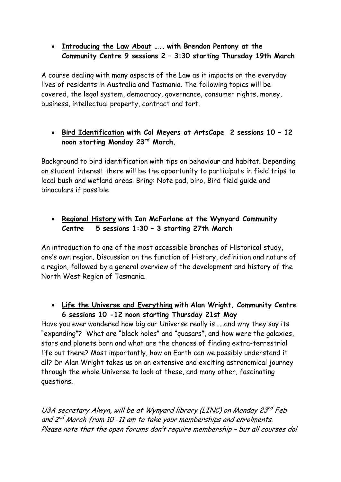#### **Introducing the Law About ….. with Brendon Pentony at the Community Centre 9 sessions 2 – 3:30 starting Thursday 19th March**

A course dealing with many aspects of the Law as it impacts on the everyday lives of residents in Australia and Tasmania. The following topics will be covered, the legal system, democracy, governance, consumer rights, money, business, intellectual property, contract and tort.

### **Bird Identification with Col Meyers at ArtsCape 2 sessions 10 – 12 noon starting Monday 23rd March.**

Background to bird identification with tips on behaviour and habitat. Depending on student interest there will be the opportunity to participate in field trips to local bush and wetland areas. Bring: Note pad, biro, Bird field guide and binoculars if possible

## **Regional History with Ian McFarlane at the Wynyard Community Centre 5 sessions 1:30 – 3 starting 27th March**

An introduction to one of the most accessible branches of Historical study, one's own region. Discussion on the function of History, definition and nature of a region, followed by a general overview of the development and history of the North West Region of Tasmania.

#### **Life the Universe and Everything with Alan Wright, Community Centre 6 sessions 10 -12 noon starting Thursday 21st May**

Have you ever wondered how big our Universe really is……and why they say its "expanding"? What are "black holes" and "quasars", and how were the galaxies, stars and planets born and what are the chances of finding extra-terrestrial life out there? Most importantly, how on Earth can we possibly understand it all? Dr Alan Wright takes us on an extensive and exciting astronomical journey through the whole Universe to look at these, and many other, fascinating questions.

U3A secretary Alwyn, will be at Wynyard library (LINC) on Monday 23<sup>rd</sup> Feb and 2<sup>nd</sup> March from 10 -11 am to take your memberships and enrolments. Please note that the open forums don't require membership – but all courses do!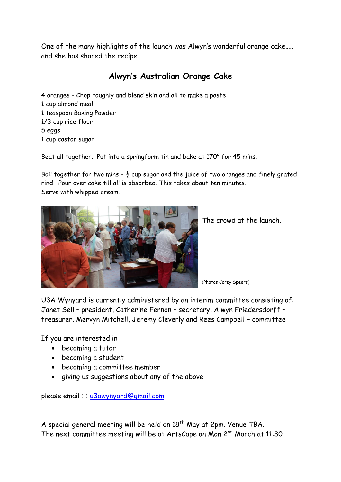One of the many highlights of the launch was Alwyn's wonderful orange cake….. and she has shared the recipe.

## **Alwyn's Australian Orange Cake**

4 oranges – Chop roughly and blend skin and all to make a paste 1 cup almond meal 1 teaspoon Baking Powder 1/3 cup rice flour 5 eggs 1 cup castor sugar

Beat all together. Put into a springform tin and bake at 170° for 45 mins.

Boil together for two mins  $-\frac{1}{2}$  cup sugar and the juice of two oranges and finely grated rind. Pour over cake till all is absorbed. This takes about ten minutes. Serve with whipped cream.



The crowd at the launch.

(Photos Corey Speers)

U3A Wynyard is currently administered by an interim committee consisting of: Janet Sell – president, Catherine Fernon – secretary, Alwyn Friedersdorff – treasurer. Mervyn Mitchell, Jeremy Cleverly and Rees Campbell – committee

If you are interested in

- becoming a tutor
- becoming a student
- becoming a committee member
- giving us suggestions about any of the above

please email:: [u3awynyard@gmail.com](mailto:u3awynyard@gmail.com)

A special general meeting will be held on  $18<sup>th</sup>$  May at 2pm. Venue TBA. The next committee meeting will be at ArtsCape on Mon 2<sup>nd</sup> March at 11:30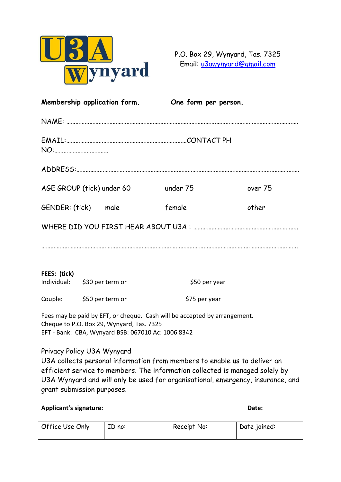

P.O. Box 29, Wynyard, Tas. 7325 Email: [u3awynyard@gmail.com](mailto:u3awynyard@gmail.com)

| Membership application form. |                                                                                                 | One form per person.                                                      |         |
|------------------------------|-------------------------------------------------------------------------------------------------|---------------------------------------------------------------------------|---------|
|                              |                                                                                                 |                                                                           |         |
|                              |                                                                                                 |                                                                           |         |
|                              |                                                                                                 |                                                                           |         |
|                              | AGE GROUP (tick) under 60                                                                       | under 75                                                                  | over 75 |
| GENDER: (tick) male          |                                                                                                 | female                                                                    | other   |
|                              |                                                                                                 |                                                                           |         |
|                              |                                                                                                 |                                                                           |         |
| FEES: (tick)                 |                                                                                                 |                                                                           |         |
|                              | Individual: \$30 per term or                                                                    | \$50 per year                                                             |         |
|                              | Couple: \$50 per term or                                                                        | \$75 per year                                                             |         |
|                              | Cheque to P.O. Box 29, Wynyard, Tas. 7325<br>EFT - Bank: CBA, Wynyard BSB: 067010 Ac: 1006 8342 | Fees may be paid by EFT, or cheque. Cash will be accepted by arrangement. |         |
|                              | Privacy Policy U3A Wynyard                                                                      |                                                                           |         |

U3A collects personal information from members to enable us to deliver an efficient service to members. The information collected is managed solely by U3A Wynyard and will only be used for organisational, emergency, insurance, and grant submission purposes.

**Applicant's signature: Date:**

| Office Use Only | ID no: | Receipt No: | Date joined: |
|-----------------|--------|-------------|--------------|
|                 |        |             |              |